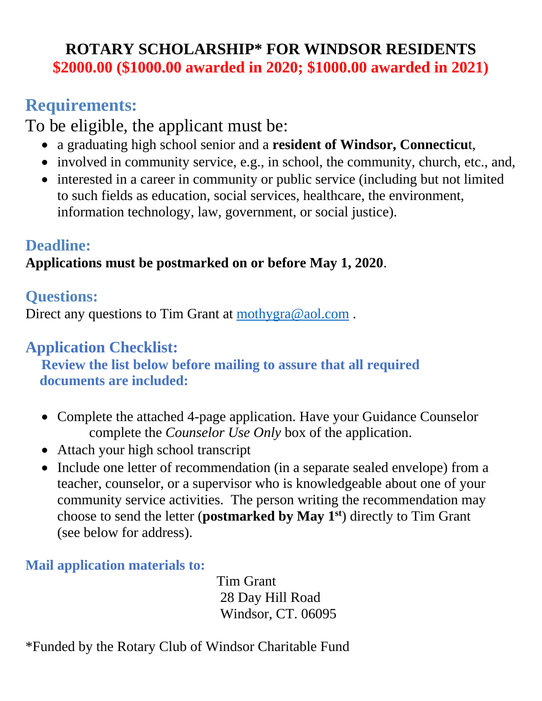## **ROTARY SCHOLARSHIP\* FOR WINDSOR RESIDENTS \$2000.00 (\$1000.00 awarded in 2020; \$1000.00 awarded in 2021)**

# **Requirements:**

To be eligible, the applicant must be:

- a graduating high school senior and a **resident of Windsor, Connecticu**t,
- involved in community service, e.g., in school, the community, church, etc., and,
- interested in a career in community or public service (including but not limited to such fields as education, social services, healthcare, the environment, information technology, law, government, or social justice).

## **Deadline:**

## **Applications must be postmarked on or before May 1, 2020**.

## **Questions:**

Direct any questions to Tim Grant at mothygra@aol.com.

## **Application Checklist:**

**Review the list below before mailing to assure that all required documents are included:**

- Complete the attached 4-page application. Have your Guidance Counselor complete the *Counselor Use Only* box of the application.
- Attach your high school transcript
- Include one letter of recommendation (in a separate sealed envelope) from a teacher, counselor, or a supervisor who is knowledgeable about one of your community service activities. The person writing the recommendation may choose to send the letter (**postmarked by May 1st**) directly to Tim Grant (see below for address).

### **Mail application materials to:**

 Tim Grant 28 Day Hill Road Windsor, CT. 06095

\*Funded by the Rotary Club of Windsor Charitable Fund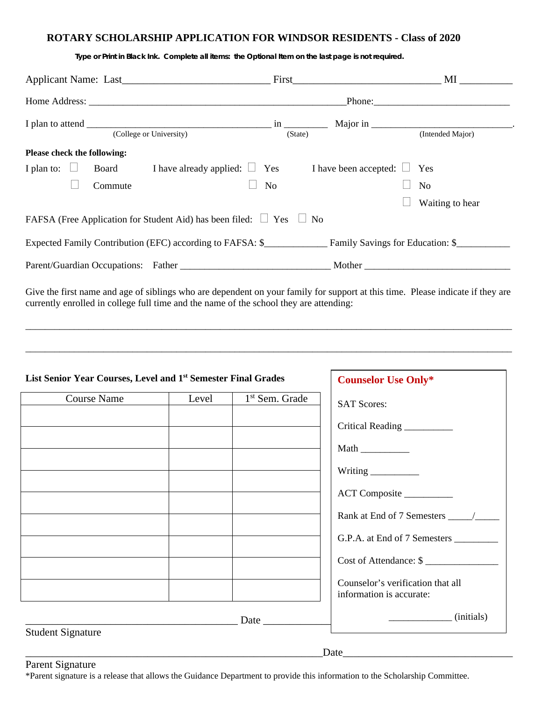#### **ROTARY SCHOLARSHIP APPLICATION FOR WINDSOR RESIDENTS - Class of 2020**

|                                                                               |                                                                                                            | First MI         |
|-------------------------------------------------------------------------------|------------------------------------------------------------------------------------------------------------|------------------|
|                                                                               |                                                                                                            |                  |
| (College or University)                                                       | (State)                                                                                                    | (Intended Major) |
| Please check the following:                                                   |                                                                                                            |                  |
| I plan to: $\Box$                                                             | <b>Board</b> I have already applied: $\Box$ Yes I have been accepted: $\Box$ Yes                           |                  |
| Commute                                                                       | N <sub>o</sub>                                                                                             | No               |
|                                                                               |                                                                                                            | Waiting to hear  |
| FAFSA (Free Application for Student Aid) has been filed: $\Box$ Yes $\Box$ No |                                                                                                            |                  |
|                                                                               | Expected Family Contribution (EFC) according to FAFSA: \$ <b>EXPECTED</b> Family Savings for Education: \$ |                  |
|                                                                               |                                                                                                            |                  |

 *Type or Print in Black Ink. Complete all items: the Optional Item on the last page is not required.* 

Give the first name and age of siblings who are dependent on your family for support at this time. Please indicate if they are currently enrolled in college full time and the name of the school they are attending:

\_\_\_\_\_\_\_\_\_\_\_\_\_\_\_\_\_\_\_\_\_\_\_\_\_\_\_\_\_\_\_\_\_\_\_\_\_\_\_\_\_\_\_\_\_\_\_\_\_\_\_\_\_\_\_\_\_\_\_\_\_\_\_\_\_\_\_\_\_\_\_\_\_\_\_\_\_\_\_\_\_\_\_\_\_\_\_\_\_\_\_\_\_\_\_\_\_\_\_\_

\_\_\_\_\_\_\_\_\_\_\_\_\_\_\_\_\_\_\_\_\_\_\_\_\_\_\_\_\_\_\_\_\_\_\_\_\_\_\_\_\_\_\_\_\_\_\_\_\_\_\_\_\_\_\_\_\_\_\_\_\_\_\_\_\_\_\_\_\_\_\_\_\_\_\_\_\_\_\_\_\_\_\_\_\_\_\_\_\_\_\_\_\_\_\_\_\_\_\_\_

| List Senior Year Courses, Level and 1st Semester Final Grades |       |                            | <b>Counselor Use Only*</b>        |
|---------------------------------------------------------------|-------|----------------------------|-----------------------------------|
| <b>Course Name</b>                                            | Level | 1 <sup>st</sup> Sem. Grade | <b>SAT Scores:</b>                |
|                                                               |       |                            |                                   |
|                                                               |       |                            | Critical Reading _________        |
|                                                               |       |                            |                                   |
|                                                               |       |                            | Writing _________                 |
|                                                               |       |                            | ACT Composite                     |
|                                                               |       |                            |                                   |
|                                                               |       |                            | G.P.A. at End of 7 Semesters      |
|                                                               |       |                            | Cost of Attendance: \$            |
|                                                               |       |                            | Counselor's verification that all |
|                                                               |       |                            | information is accurate:          |
|                                                               |       | Date                       | (initials)                        |

Parent Signature

\*Parent signature is a release that allows the Guidance Department to provide this information to the Scholarship Committee.

Date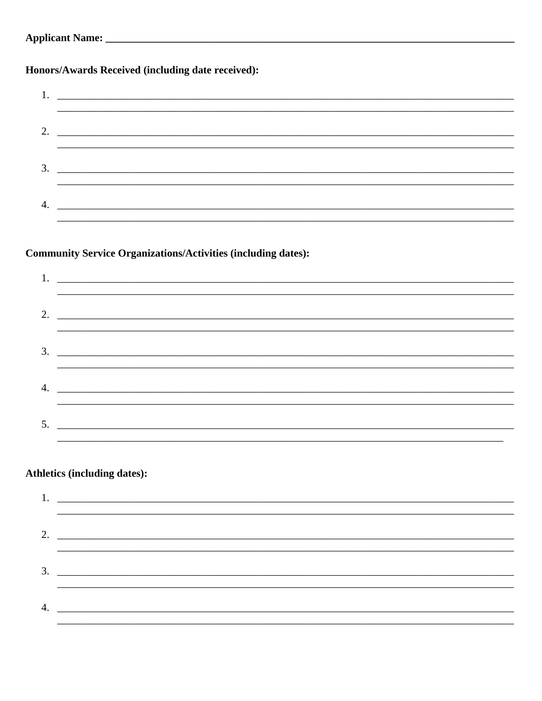| <b>Applicant Name:</b> |  |
|------------------------|--|
|------------------------|--|

Honors/Awards Received (including date received):

| $4.$ $\overline{\phantom{a}}$ |
|-------------------------------|
|                               |

### **Community Service Organizations/Activities (including dates):**

| <u> 1999 - Jan Barnett, amerikan bandar basar basa dan bandar basa dan basa dan basa dan basa dalam basa dalam b</u> |
|----------------------------------------------------------------------------------------------------------------------|
| 2. $\overline{\phantom{a}}$                                                                                          |
| <u>,一个人的人都不能在这个人的人,就是这个人的人,就是这个人的人,就是这个人的人,就是这个人的人,</u>                                                              |
|                                                                                                                      |
|                                                                                                                      |
|                                                                                                                      |
|                                                                                                                      |
|                                                                                                                      |
|                                                                                                                      |
|                                                                                                                      |

### **Athletics (including dates):**

|    | 2. $\overline{\phantom{a}}$ |
|----|-----------------------------|
|    |                             |
|    | $\overline{\mathbf{3}}$ .   |
| 4. |                             |
|    |                             |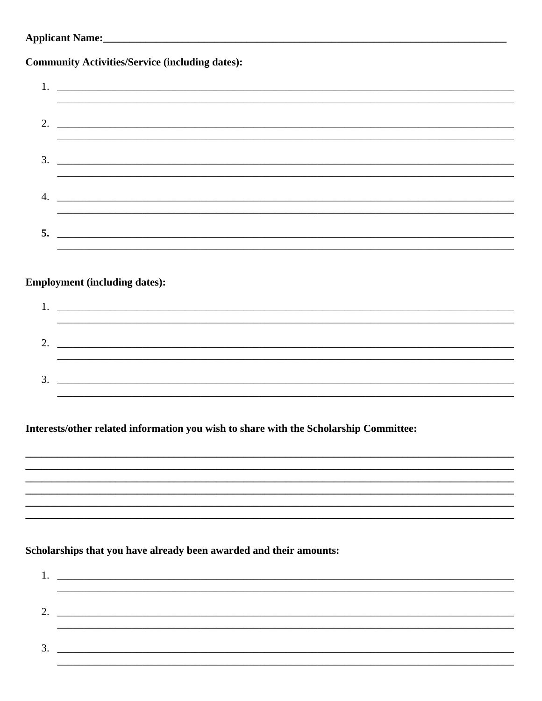| <b>Applicant Name:_</b> |  |
|-------------------------|--|
|-------------------------|--|

### **Community Activities/Service (including dates):**

### **Employment (including dates):**

| ി                  |  |
|--------------------|--|
|                    |  |
| $\mathbf 2$<br>J., |  |

Interests/other related information you wish to share with the Scholarship Committee:

### Scholarships that you have already been awarded and their amounts:

| ↑                 |  |
|-------------------|--|
|                   |  |
| $\mathbf 2$<br>J. |  |